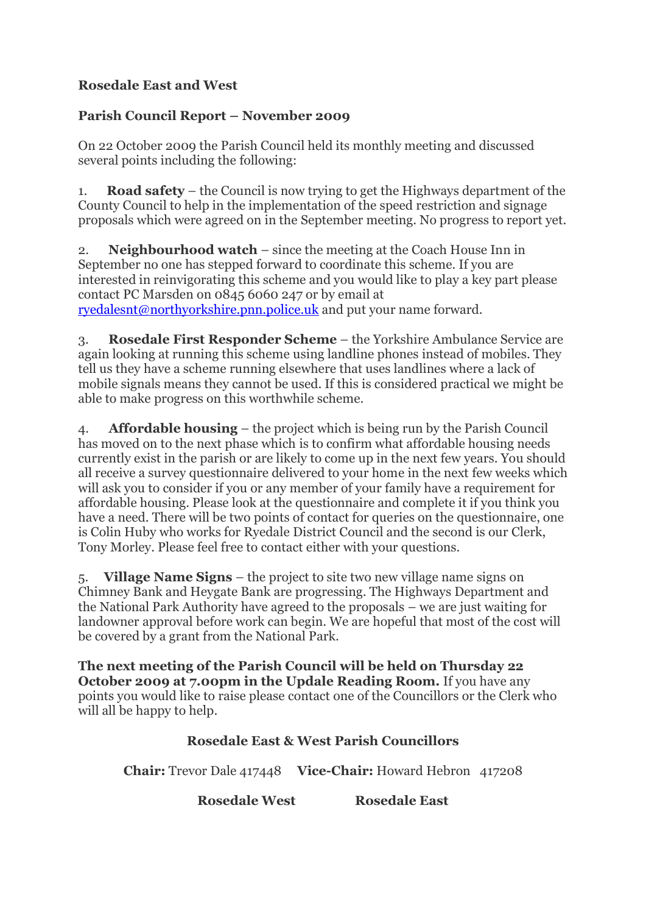## **Rosedale East and West**

## **Parish Council Report – November 2009**

On 22 October 2009 the Parish Council held its monthly meeting and discussed several points including the following:

1. **Road safety** – the Council is now trying to get the Highways department of the County Council to help in the implementation of the speed restriction and signage proposals which were agreed on in the September meeting. No progress to report yet.

2. **Neighbourhood watch** – since the meeting at the Coach House Inn in September no one has stepped forward to coordinate this scheme. If you are interested in reinvigorating this scheme and you would like to play a key part please contact PC Marsden on 0845 6060 247 or by email at [ryedalesnt@northyorkshire.pnn.police.uk](mailto:ryedalesnt@northyorkshire.pnn.police.uk) and put your name forward.

3. **Rosedale First Responder Scheme** – the Yorkshire Ambulance Service are again looking at running this scheme using landline phones instead of mobiles. They tell us they have a scheme running elsewhere that uses landlines where a lack of mobile signals means they cannot be used. If this is considered practical we might be able to make progress on this worthwhile scheme.

4. **Affordable housing** – the project which is being run by the Parish Council has moved on to the next phase which is to confirm what affordable housing needs currently exist in the parish or are likely to come up in the next few years. You should all receive a survey questionnaire delivered to your home in the next few weeks which will ask you to consider if you or any member of your family have a requirement for affordable housing. Please look at the questionnaire and complete it if you think you have a need. There will be two points of contact for queries on the questionnaire, one is Colin Huby who works for Ryedale District Council and the second is our Clerk, Tony Morley. Please feel free to contact either with your questions.

5. **Village Name Signs** – the project to site two new village name signs on Chimney Bank and Heygate Bank are progressing. The Highways Department and the National Park Authority have agreed to the proposals – we are just waiting for landowner approval before work can begin. We are hopeful that most of the cost will be covered by a grant from the National Park.

**The next meeting of the Parish Council will be held on Thursday 22 October 2009 at 7.00pm in the Updale Reading Room.** If you have any points you would like to raise please contact one of the Councillors or the Clerk who will all be happy to help.

## **Rosedale East & West Parish Councillors**

**Chair:** Trevor Dale 417448 **Vice-Chair:** Howard Hebron 417208

**Rosedale West Rosedale East**